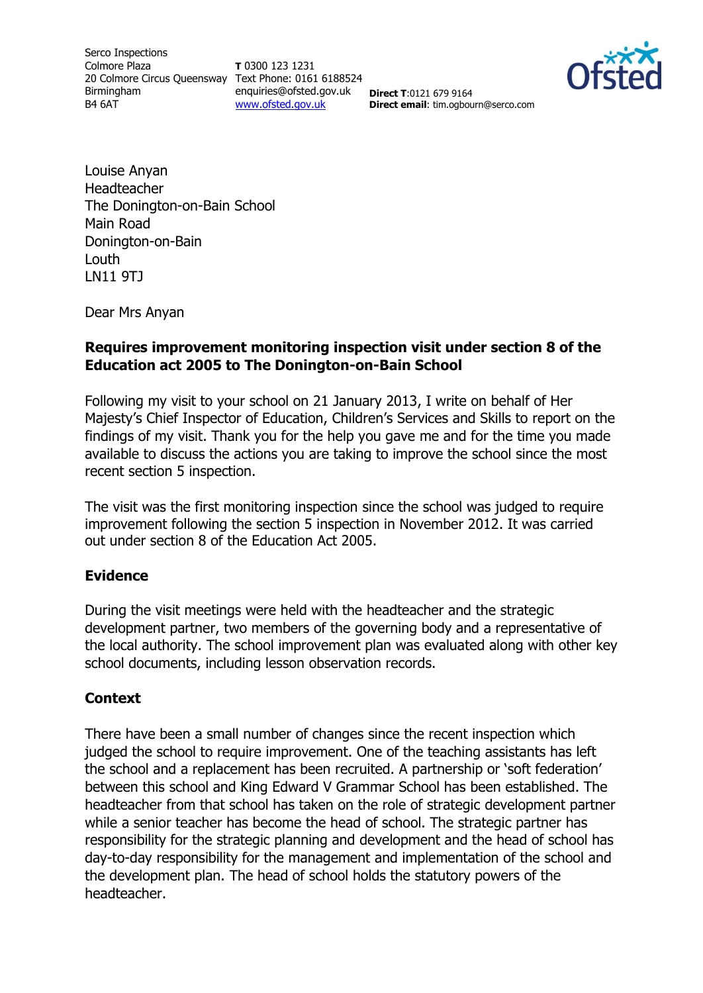Serco Inspections Colmore Plaza 20 Colmore Circus Queensway Text Phone: 0161 6188524 Birmingham B4 6AT

**T** 0300 123 1231 enquiries@ofsted.gov.uk [www.ofsted.gov.uk](http://www.ofsted.gov.uk/)

**Direct T**:0121 679 9164 **Direct email**: tim.ogbourn@serco.com



Louise Anyan Headteacher The Donington-on-Bain School Main Road Donington-on-Bain Louth LN11 9TJ

Dear Mrs Anyan

### **Requires improvement monitoring inspection visit under section 8 of the Education act 2005 to The Donington-on-Bain School**

Following my visit to your school on 21 January 2013, I write on behalf of Her Majesty's Chief Inspector of Education, Children's Services and Skills to report on the findings of my visit. Thank you for the help you gave me and for the time you made available to discuss the actions you are taking to improve the school since the most recent section 5 inspection.

The visit was the first monitoring inspection since the school was judged to require improvement following the section 5 inspection in November 2012. It was carried out under section 8 of the Education Act 2005.

#### **Evidence**

During the visit meetings were held with the headteacher and the strategic development partner, two members of the governing body and a representative of the local authority. The school improvement plan was evaluated along with other key school documents, including lesson observation records.

#### **Context**

There have been a small number of changes since the recent inspection which judged the school to require improvement. One of the teaching assistants has left the school and a replacement has been recruited. A partnership or 'soft federation' between this school and King Edward V Grammar School has been established. The headteacher from that school has taken on the role of strategic development partner while a senior teacher has become the head of school. The strategic partner has responsibility for the strategic planning and development and the head of school has day-to-day responsibility for the management and implementation of the school and the development plan. The head of school holds the statutory powers of the headteacher.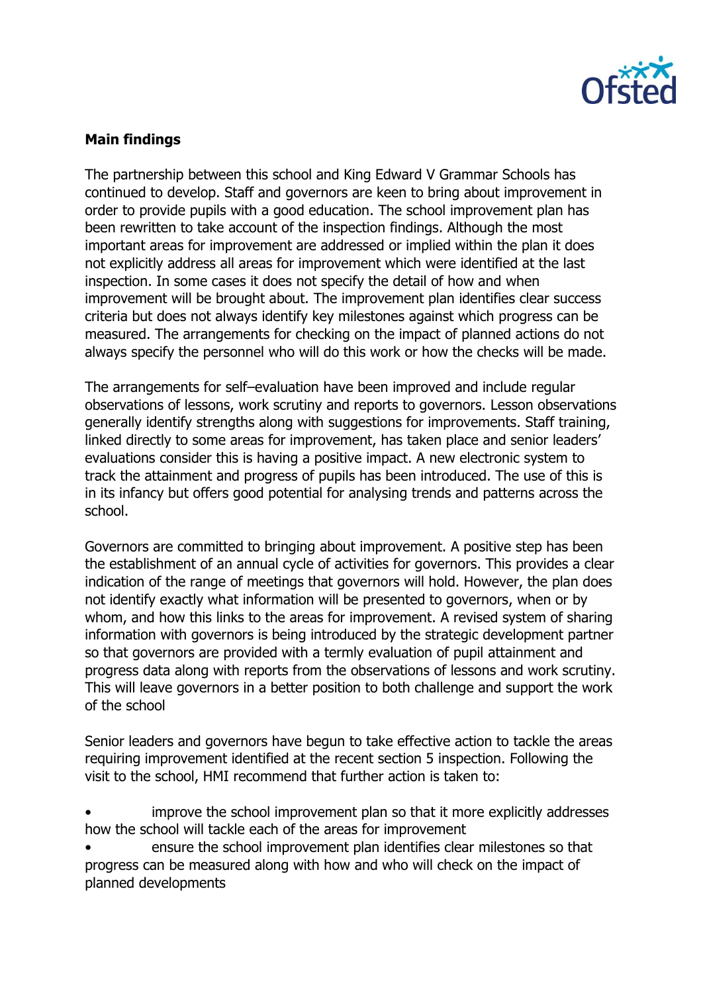

## **Main findings**

The partnership between this school and King Edward V Grammar Schools has continued to develop. Staff and governors are keen to bring about improvement in order to provide pupils with a good education. The school improvement plan has been rewritten to take account of the inspection findings. Although the most important areas for improvement are addressed or implied within the plan it does not explicitly address all areas for improvement which were identified at the last inspection. In some cases it does not specify the detail of how and when improvement will be brought about. The improvement plan identifies clear success criteria but does not always identify key milestones against which progress can be measured. The arrangements for checking on the impact of planned actions do not always specify the personnel who will do this work or how the checks will be made.

The arrangements for self–evaluation have been improved and include regular observations of lessons, work scrutiny and reports to governors. Lesson observations generally identify strengths along with suggestions for improvements. Staff training, linked directly to some areas for improvement, has taken place and senior leaders' evaluations consider this is having a positive impact. A new electronic system to track the attainment and progress of pupils has been introduced. The use of this is in its infancy but offers good potential for analysing trends and patterns across the school.

Governors are committed to bringing about improvement. A positive step has been the establishment of an annual cycle of activities for governors. This provides a clear indication of the range of meetings that governors will hold. However, the plan does not identify exactly what information will be presented to governors, when or by whom, and how this links to the areas for improvement. A revised system of sharing information with governors is being introduced by the strategic development partner so that governors are provided with a termly evaluation of pupil attainment and progress data along with reports from the observations of lessons and work scrutiny. This will leave governors in a better position to both challenge and support the work of the school

Senior leaders and governors have begun to take effective action to tackle the areas requiring improvement identified at the recent section 5 inspection. Following the visit to the school, HMI recommend that further action is taken to:

• improve the school improvement plan so that it more explicitly addresses how the school will tackle each of the areas for improvement

• ensure the school improvement plan identifies clear milestones so that progress can be measured along with how and who will check on the impact of planned developments